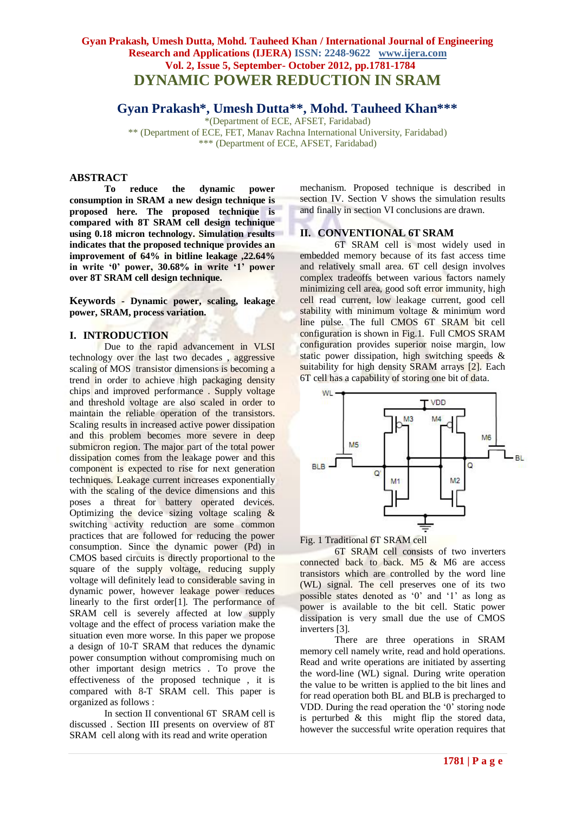# **Gyan Prakash, Umesh Dutta, Mohd. Tauheed Khan / International Journal of Engineering Research and Applications (IJERA) ISSN: 2248-9622 www.ijera.com Vol. 2, Issue 5, September- October 2012, pp.1781-1784 DYNAMIC POWER REDUCTION IN SRAM**

# **Gyan Prakash\*, Umesh Dutta\*\*, Mohd. Tauheed Khan\*\*\***

\*(Department of ECE, AFSET, Faridabad) \*\* (Department of ECE, FET, Manav Rachna International University, Faridabad) \*\*\* (Department of ECE, AFSET, Faridabad)

# **ABSTRACT**

**To reduce the dynamic power consumption in SRAM a new design technique is proposed here. The proposed technique is compared with 8T SRAM cell design technique using 0.18 micron technology. Simulation results indicates that the proposed technique provides an improvement of 64% in bitline leakage ,22.64% in write '0' power, 30.68% in write '1' power over 8T SRAM cell design technique.**

**Keywords - Dynamic power, scaling, leakage power, SRAM, process variation.**

#### **I. INTRODUCTION**

Due to the rapid advancement in VLSI technology over the last two decades , aggressive scaling of MOS transistor dimensions is becoming a trend in order to achieve high packaging density chips and improved performance . Supply voltage and threshold voltage are also scaled in order to maintain the reliable operation of the transistors. Scaling results in increased active power dissipation and this problem becomes more severe in deep submicron region. The major part of the total power dissipation comes from the leakage power and this component is expected to rise for next generation techniques. Leakage current increases exponentially with the scaling of the device dimensions and this poses a threat for battery operated devices. Optimizing the device sizing voltage scaling  $\&$ switching activity reduction are some common practices that are followed for reducing the power consumption. Since the dynamic power (Pd) in CMOS based circuits is directly proportional to the square of the supply voltage, reducing supply voltage will definitely lead to considerable saving in dynamic power, however leakage power reduces linearly to the first order[1]. The performance of SRAM cell is severely affected at low supply voltage and the effect of process variation make the situation even more worse. In this paper we propose a design of 10-T SRAM that reduces the dynamic power consumption without compromising much on other important design metrics . To prove the effectiveness of the proposed technique , it is compared with 8-T SRAM cell. This paper is organized as follows :

In section II conventional 6T SRAM cell is discussed . Section III presents on overview of 8T SRAM cell along with its read and write operation

mechanism. Proposed technique is described in section IV. Section V shows the simulation results and finally in section VI conclusions are drawn.

# **II. CONVENTIONAL 6T SRAM**

6T SRAM cell is most widely used in embedded memory because of its fast access time and relatively small area. 6T cell design involves complex tradeoffs between various factors namely minimizing cell area, good soft error immunity, high cell read current, low leakage current, good cell stability with minimum voltage & minimum word line pulse. The full CMOS 6T SRAM bit cell configuration is shown in Fig.1. Full CMOS SRAM configuration provides superior noise margin, low static power dissipation, high switching speeds & suitability for high density SRAM arrays [2]. Each 6T cell has a capability of storing one bit of data.





6T SRAM cell consists of two inverters connected back to back. M5 & M6 are access transistors which are controlled by the word line (WL) signal. The cell preserves one of its two possible states denoted as "0" and "1" as long as power is available to the bit cell. Static power dissipation is very small due the use of CMOS inverters [3].

There are three operations in SRAM memory cell namely write, read and hold operations. Read and write operations are initiated by asserting the word-line (WL) signal. During write operation the value to be written is applied to the bit lines and for read operation both BL and BLB is precharged to VDD. During the read operation the "0" storing node is perturbed & this might flip the stored data, however the successful write operation requires that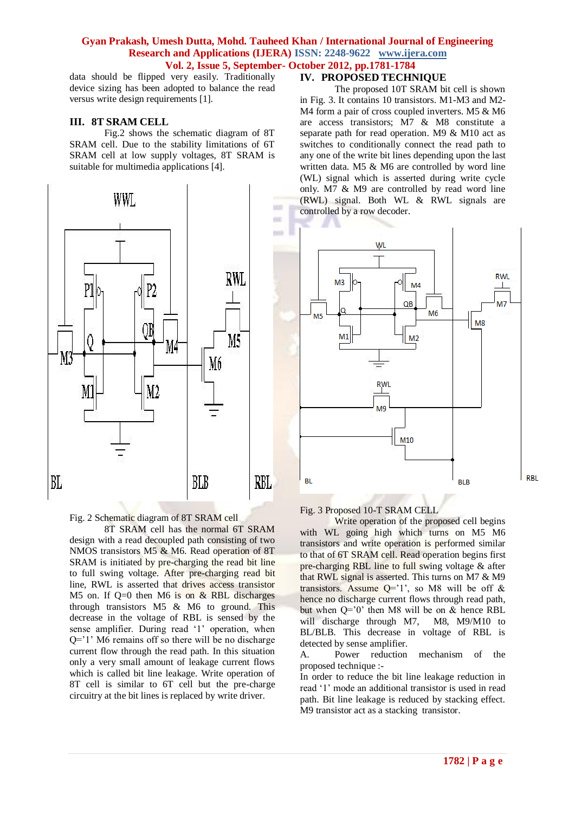#### **Gyan Prakash, Umesh Dutta, Mohd. Tauheed Khan / International Journal of Engineering Research and Applications (IJERA) ISSN: 2248-9622 www.ijera.com Vol. 2, Issue 5, September- October 2012, pp.1781-1784**

data should be flipped very easily. Traditionally device sizing has been adopted to balance the read versus write design requirements [1].

#### **III. 8T SRAM CELL**

Fig.2 shows the schematic diagram of 8T SRAM cell. Due to the stability limitations of 6T SRAM cell at low supply voltages, 8T SRAM is suitable for multimedia applications [4].



Fig. 2 Schematic diagram of 8T SRAM cell

8T SRAM cell has the normal 6T SRAM design with a read decoupled path consisting of two NMOS transistors M5 & M6. Read operation of 8T SRAM is initiated by pre-charging the read bit line to full swing voltage. After pre-charging read bit line, RWL is asserted that drives access transistor M5 on. If  $Q=0$  then M6 is on & RBL discharges through transistors M5 & M6 to ground. This decrease in the voltage of RBL is sensed by the sense amplifier. During read '1' operation, when  $Q=$  1' M6 remains off so there will be no discharge current flow through the read path. In this situation only a very small amount of leakage current flows which is called bit line leakage. Write operation of 8T cell is similar to 6T cell but the pre-charge circuitry at the bit lines is replaced by write driver.

#### **IV. PROPOSED TECHNIQUE**

The proposed 10T SRAM bit cell is shown in Fig. 3. It contains 10 transistors. M1-M3 and M2- M4 form a pair of cross coupled inverters. M5 & M6 are access transistors; M7 & M8 constitute a separate path for read operation. M9 & M10 act as switches to conditionally connect the read path to any one of the write bit lines depending upon the last written data. M5 & M6 are controlled by word line (WL) signal which is asserted during write cycle only. M7 & M9 are controlled by read word line (RWL) signal. Both WL & RWL signals are controlled by a row decoder.



Fig. 3 Proposed 10-T SRAM CELL

Write operation of the proposed cell begins with WL going high which turns on M5 M6 transistors and write operation is performed similar to that of 6T SRAM cell. Read operation begins first pre-charging RBL line to full swing voltage & after that RWL signal is asserted. This turns on M7 & M9 transistors. Assume  $Q=1'$ , so M8 will be off & hence no discharge current flows through read path, but when  $Q=0$  then M8 will be on  $&$  hence RBL will discharge through M7, M8, M9/M10 to BL/BLB. This decrease in voltage of RBL is detected by sense amplifier.

A. Power reduction mechanism of the proposed technique :-

In order to reduce the bit line leakage reduction in read '1' mode an additional transistor is used in read path. Bit line leakage is reduced by stacking effect. M9 transistor act as a stacking transistor.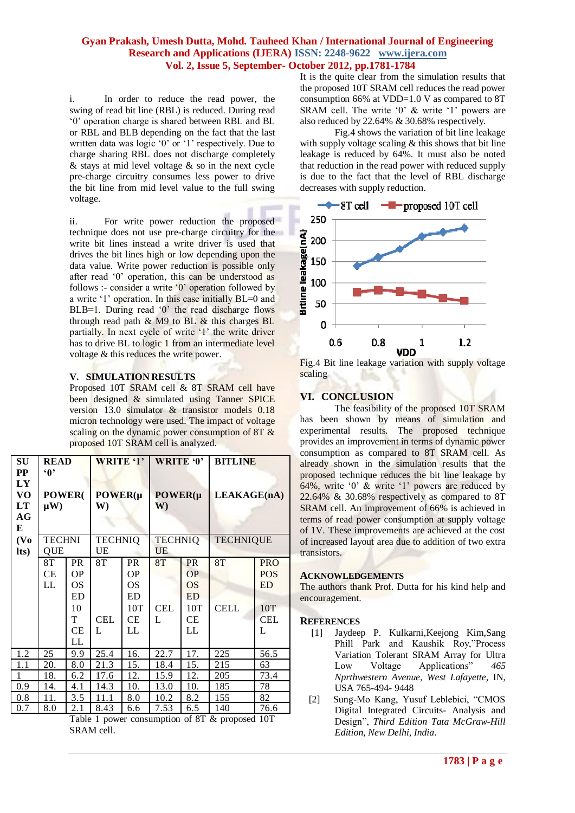### **Gyan Prakash, Umesh Dutta, Mohd. Tauheed Khan / International Journal of Engineering Research and Applications (IJERA) ISSN: 2248-9622 www.ijera.com Vol. 2, Issue 5, September- October 2012, pp.1781-1784**

i. In order to reduce the read power, the swing of read bit line (RBL) is reduced. During read "0" operation charge is shared between RBL and BL or RBL and BLB depending on the fact that the last written data was logic '0' or '1' respectively. Due to charge sharing RBL does not discharge completely & stays at mid level voltage & so in the next cycle pre-charge circuitry consumes less power to drive the bit line from mid level value to the full swing voltage.

ii. For write power reduction the proposed technique does not use pre-charge circuitry for the write bit lines instead a write driver is used that drives the bit lines high or low depending upon the data value. Write power reduction is possible only after read "0" operation, this can be understood as follows :- consider a write '0' operation followed by a write "1" operation. In this case initially BL=0 and BLB=1. During read '0' the read discharge flows through read path & M9 to BL & this charges BL partially. In next cycle of write '1' the write driver has to drive BL to logic 1 from an intermediate level voltage & this reduces the write power.

#### **V. SIMULATION RESULTS**

Proposed 10T SRAM cell & 8T SRAM cell have been designed & simulated using Tanner SPICE version 13.0 simulator & transistor models 0.18 micron technology were used. The impact of voltage scaling on the dynamic power consumption of 8T  $\&$ proposed 10T SRAM cell is analyzed.

| <b>SU</b><br>$\bf PP$     | <b>READ</b><br>$\mathbf{Q}$ |                                                                  | <b>WRITE '1'</b>      |                                                              | WRITE '0'                   |                                                                     | <b>BITLINE</b>    |                                                                 |
|---------------------------|-----------------------------|------------------------------------------------------------------|-----------------------|--------------------------------------------------------------|-----------------------------|---------------------------------------------------------------------|-------------------|-----------------------------------------------------------------|
| LY<br>VO<br>LT<br>AG<br>E | <b>POWER</b> (<br>$\mu$ W)  |                                                                  | $POWER(\mu$<br>W)     |                                                              | $POWER(\mu$<br>$\mathbf{W}$ |                                                                     | LEAKAGE(nA)       |                                                                 |
| (V <sub>0</sub> )<br>lts) | <b>TECHNI</b><br>QUE        |                                                                  | <b>TECHNIQ</b><br>UE  |                                                              | <b>TECHNIQ</b><br>UE        |                                                                     | <b>TECHNIQUE</b>  |                                                                 |
|                           | 8T<br>СE<br>LL              | <b>PR</b><br><b>OP</b><br><b>OS</b><br>ED<br>10<br>T<br>CE<br>LL | 8T<br><b>CEL</b><br>L | <b>PR</b><br><b>OP</b><br>OS<br>ED<br>10T<br><b>CE</b><br>LL | 8T<br><b>CEL</b><br>L       | <b>PR</b><br><b>OP</b><br><b>OS</b><br><b>ED</b><br>10T<br>CE<br>LL | 8T<br><b>CELL</b> | <b>PRO</b><br><b>POS</b><br><b>ED</b><br>10T<br><b>CEL</b><br>L |
| 1.2                       | 25                          | 9.9                                                              | 25.4                  | 16.                                                          | 22.7                        | 17.                                                                 | 225               | 56.5                                                            |
| 1.1                       | 20.                         | 8.0                                                              | 21.3                  | 15.                                                          | 18.4                        | 15.                                                                 | 215               | 63                                                              |
| 1                         | 18.                         | 6.2                                                              | 17.6                  | 12.                                                          | 15.9                        | 12.                                                                 | 205               | 73.4                                                            |
| 0.9                       | 14.                         | 4.1                                                              | 14.3                  | 10.                                                          | 13.0                        | 10.                                                                 | 185               | 78                                                              |
| 0.8                       | 11.                         | 3.5                                                              | 11.1                  | 8.0                                                          | 10.2                        | 8.2                                                                 | 155               | 82                                                              |
| 0.7                       | 8.0                         | 2.1                                                              | 8.43                  | 6.6                                                          | 7.53                        | 6.5                                                                 | 140               | 76.6                                                            |

Table 1 power consumption of 8T & proposed 10T SRAM cell.

It is the quite clear from the simulation results that the proposed 10T SRAM cell reduces the read power consumption 66% at VDD=1.0 V as compared to 8T SRAM cell. The write '0'  $\&$  write '1' powers are also reduced by 22.64% & 30.68% respectively.

 Fig.4 shows the variation of bit line leakage with supply voltage scaling  $&$  this shows that bit line leakage is reduced by 64%. It must also be noted that reduction in the read power with reduced supply is due to the fact that the level of RBL discharge decreases with supply reduction.



Fig.4 Bit line leakage variation with supply voltage scaling

# **VI. CONCLUSION**

The feasibility of the proposed 10T SRAM has been shown by means of simulation and experimental results. The proposed technique provides an improvement in terms of dynamic power consumption as compared to 8T SRAM cell. As already shown in the simulation results that the proposed technique reduces the bit line leakage by 64%, write  $0'$  & write  $'1'$  powers are reduced by 22.64% & 30.68% respectively as compared to 8T SRAM cell. An improvement of 66% is achieved in terms of read power consumption at supply voltage of 1V. These improvements are achieved at the cost of increased layout area due to addition of two extra transistors.

#### **ACKNOWLEDGEMENTS**

The authors thank Prof. Dutta for his kind help and encouragement.

#### **REFERENCES**

- [1] Jaydeep P. Kulkarni,Keejong Kim,Sang Phill Park and Kaushik Roy,"Process Variation Tolerant SRAM Array for Ultra Low Voltage Applications" *465 Nprthwestern Avenue, West Lafayette*, IN, USA 765-494- 9448
- [2] Sung-Mo Kang, Yusuf Leblebici, "CMOS Digital Integrated Circuits- Analysis and Design", *Third Edition Tata McGraw-Hill Edition, New Delhi, India*.